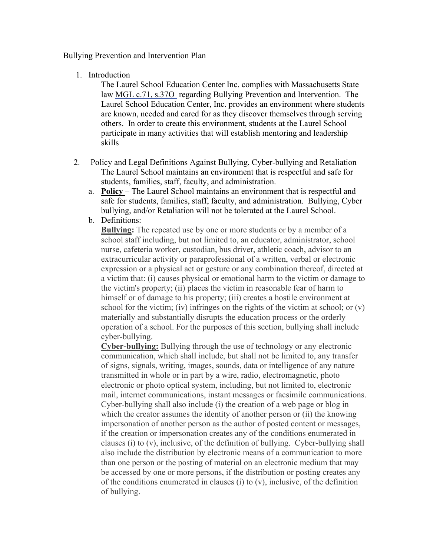Bullying Prevention and Intervention Plan

1. Introduction

The Laurel School Education Center Inc. complies with Massachusetts State law MGL c.71, s.37O regarding Bullying Prevention and Intervention. The Laurel School Education Center, Inc. provides an environment where students are known, needed and cared for as they discover themselves through serving others. In order to create this environment, students at the Laurel School participate in many activities that will establish mentoring and leadership skills

- 2. Policy and Legal Definitions Against Bullying, Cyber-bullying and Retaliation The Laurel School maintains an environment that is respectful and safe for students, families, staff, faculty, and administration.
	- a. **Policy**  The Laurel School maintains an environment that is respectful and safe for students, families, staff, faculty, and administration. Bullying, Cyber bullying, and/or Retaliation will not be tolerated at the Laurel School.
	- b. Definitions:

**Bullying:** The repeated use by one or more students or by a member of a school staff including, but not limited to, an educator, administrator, school nurse, cafeteria worker, custodian, bus driver, athletic coach, advisor to an extracurricular activity or paraprofessional of a written, verbal or electronic expression or a physical act or gesture or any combination thereof, directed at a victim that: (i) causes physical or emotional harm to the victim or damage to the victim's property; (ii) places the victim in reasonable fear of harm to himself or of damage to his property; (iii) creates a hostile environment at school for the victim; (iv) infringes on the rights of the victim at school; or (v) materially and substantially disrupts the education process or the orderly operation of a school. For the purposes of this section, bullying shall include cyber-bullying.

**Cyber-bullying:** Bullying through the use of technology or any electronic communication, which shall include, but shall not be limited to, any transfer of signs, signals, writing, images, sounds, data or intelligence of any nature transmitted in whole or in part by a wire, radio, electromagnetic, photo electronic or photo optical system, including, but not limited to, electronic mail, internet communications, instant messages or facsimile communications. Cyber-bullying shall also include (i) the creation of a web page or blog in which the creator assumes the identity of another person or (ii) the knowing impersonation of another person as the author of posted content or messages, if the creation or impersonation creates any of the conditions enumerated in clauses (i) to (v), inclusive, of the definition of bullying. Cyber-bullying shall also include the distribution by electronic means of a communication to more than one person or the posting of material on an electronic medium that may be accessed by one or more persons, if the distribution or posting creates any of the conditions enumerated in clauses (i) to (v), inclusive, of the definition of bullying.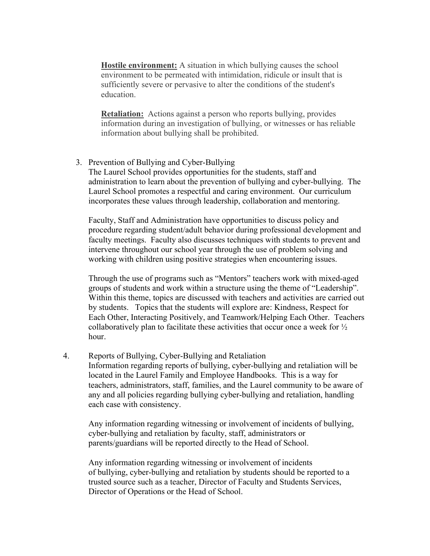**Hostile environment:** A situation in which bullying causes the school environment to be permeated with intimidation, ridicule or insult that is sufficiently severe or pervasive to alter the conditions of the student's education.

**Retaliation:** Actions against a person who reports bullying, provides information during an investigation of bullying, or witnesses or has reliable information about bullying shall be prohibited.

## 3. Prevention of Bullying and Cyber-Bullying

The Laurel School provides opportunities for the students, staff and administration to learn about the prevention of bullying and cyber-bullying. The Laurel School promotes a respectful and caring environment. Our curriculum incorporates these values through leadership, collaboration and mentoring.

Faculty, Staff and Administration have opportunities to discuss policy and procedure regarding student/adult behavior during professional development and faculty meetings. Faculty also discusses techniques with students to prevent and intervene throughout our school year through the use of problem solving and working with children using positive strategies when encountering issues.

Through the use of programs such as "Mentors" teachers work with mixed-aged groups of students and work within a structure using the theme of "Leadership". Within this theme, topics are discussed with teachers and activities are carried out by students. Topics that the students will explore are: Kindness, Respect for Each Other, Interacting Positively, and Teamwork/Helping Each Other. Teachers collaboratively plan to facilitate these activities that occur once a week for  $\frac{1}{2}$ hour.

## 4. Reports of Bullying, Cyber-Bullying and Retaliation

Information regarding reports of bullying, cyber-bullying and retaliation will be located in the Laurel Family and Employee Handbooks. This is a way for teachers, administrators, staff, families, and the Laurel community to be aware of any and all policies regarding bullying cyber-bullying and retaliation, handling each case with consistency.

Any information regarding witnessing or involvement of incidents of bullying, cyber-bullying and retaliation by faculty, staff, administrators or parents/guardians will be reported directly to the Head of School.

Any information regarding witnessing or involvement of incidents of bullying, cyber-bullying and retaliation by students should be reported to a trusted source such as a teacher, Director of Faculty and Students Services, Director of Operations or the Head of School.